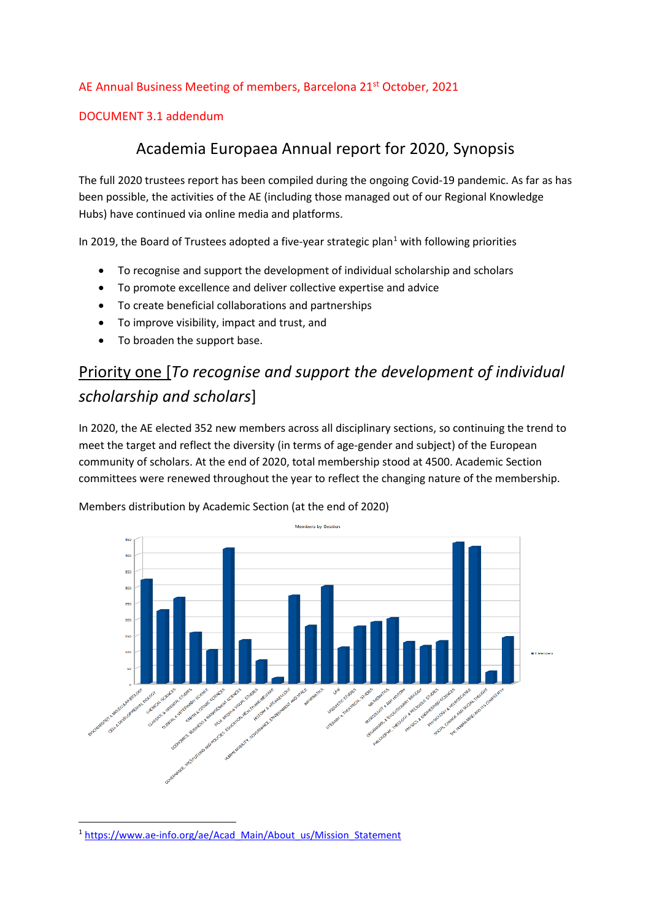#### AE Annual Business Meeting of members, Barcelona 21st October, 2021

#### DOCUMENT 3.1 addendum

### Academia Europaea Annual report for 2020, Synopsis

The full 2020 trustees report has been compiled during the ongoing Covid-19 pandemic. As far as has been possible, the activities of the AE (including those managed out of our Regional Knowledge Hubs) have continued via online media and platforms.

In 20[1](#page-0-0)9, the Board of Trustees adopted a five-year strategic plan<sup>1</sup> with following priorities

- To recognise and support the development of individual scholarship and scholars
- To promote excellence and deliver collective expertise and advice
- To create beneficial collaborations and partnerships
- To improve visibility, impact and trust, and
- To broaden the support base.

## Priority one [*To recognise and support the development of individual scholarship and scholars*]

In 2020, the AE elected 352 new members across all disciplinary sections, so continuing the trend to meet the target and reflect the diversity (in terms of age-gender and subject) of the European community of scholars. At the end of 2020, total membership stood at 4500. Academic Section committees were renewed throughout the year to reflect the changing nature of the membership.



Members distribution by Academic Section (at the end of 2020)

<span id="page-0-0"></span><sup>&</sup>lt;sup>1</sup> [https://www.ae-info.org/ae/Acad\\_Main/About\\_us/Mission\\_Statement](https://www.ae-info.org/ae/Acad_Main/About_us/Mission_Statement)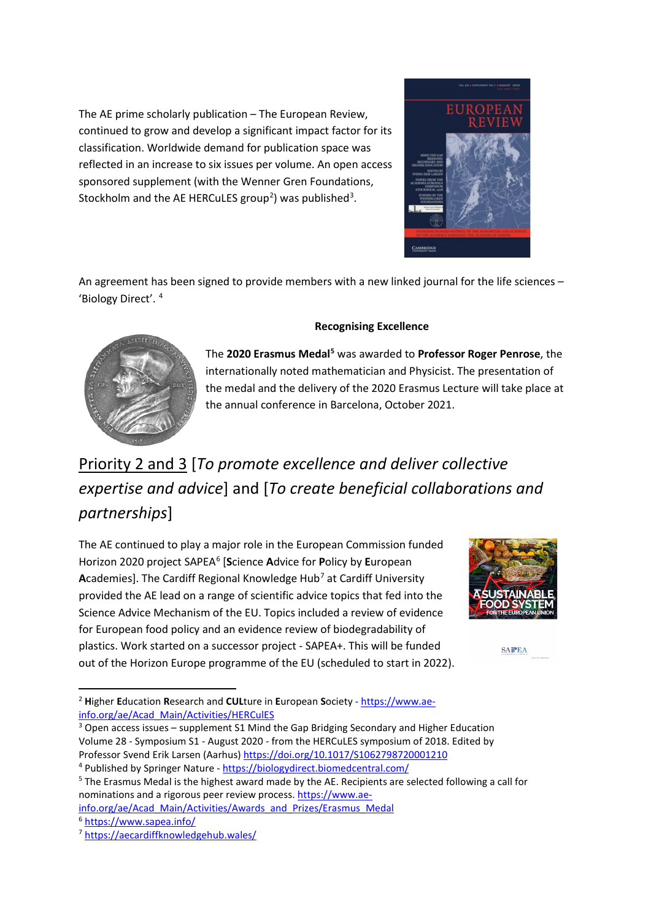The AE prime scholarly publication – The European Review, continued to grow and develop a significant impact factor for its classification. Worldwide demand for publication space was reflected in an increase to six issues per volume. An open access sponsored supplement (with the Wenner Gren Foundations, Stockholm and the AE HERCuLES group<sup>[2](#page-1-0)</sup>) was published<sup>[3](#page-1-1)</sup>.



An agreement has been signed to provide members with a new linked journal for the life sciences – 'Biology Direct'. [4](#page-1-2)



#### **Recognising Excellence**

The **2020 Erasmus Medal[5](#page-1-3)** was awarded to **Professor Roger Penrose**, the internationally noted mathematician and Physicist. The presentation of the medal and the delivery of the 2020 Erasmus Lecture will take place at the annual conference in Barcelona, October 2021.

# Priority 2 and 3 [*To promote excellence and deliver collective expertise and advice*] and [*To create beneficial collaborations and partnerships*]

The AE continued to play a major role in the European Commission funded Horizon 2020 project SAPEA[6](#page-1-4) [**S**cience **A**dvice for **P**olicy by **E**uropean Academies]. The Cardiff Regional Knowledge Hub<sup>[7](#page-1-5)</sup> at Cardiff University provided the AE lead on a range of scientific advice topics that fed into the Science Advice Mechanism of the EU. Topics included a review of evidence for European food policy and an evidence review of biodegradability of plastics. Work started on a successor project - SAPEA+. This will be funded out of the Horizon Europe programme of the EU (scheduled to start in 2022).



**SATPEA** 

<span id="page-1-0"></span> <sup>2</sup> **<sup>H</sup>**igher **E**ducation **R**esearch and **CUL**ture in **E**uropean **S**ociety - [https://www.ae](https://www.ae-info.org/ae/Acad_Main/Activities/HERCulES)[info.org/ae/Acad\\_Main/Activities/HERCulES](https://www.ae-info.org/ae/Acad_Main/Activities/HERCulES)

<span id="page-1-1"></span><sup>3</sup> Open access issues – supplement S1 Mind the Gap Bridging Secondary and Higher Education Volume 28 - Symposium S1 - August 2020 - from the HERCuLES symposium of 2018. Edited by Professor Svend Erik Larsen (Aarhus)<https://doi.org/10.1017/S1062798720001210>

<span id="page-1-2"></span><sup>4</sup> Published by Springer Nature - <https://biologydirect.biomedcentral.com/>

<span id="page-1-3"></span><sup>&</sup>lt;sup>5</sup> The Erasmus Medal is the highest award made by the AE. Recipients are selected following a call for nominations and a rigorous peer review process. [https://www.ae-](https://www.ae-info.org/ae/Acad_Main/Activities/Awards_and_Prizes/Erasmus_Medal)

<span id="page-1-4"></span>[info.org/ae/Acad\\_Main/Activities/Awards\\_and\\_Prizes/Erasmus\\_Medal](https://www.ae-info.org/ae/Acad_Main/Activities/Awards_and_Prizes/Erasmus_Medal) <sup>6</sup> <https://www.sapea.info/>

<span id="page-1-5"></span><sup>7</sup> <https://aecardiffknowledgehub.wales/>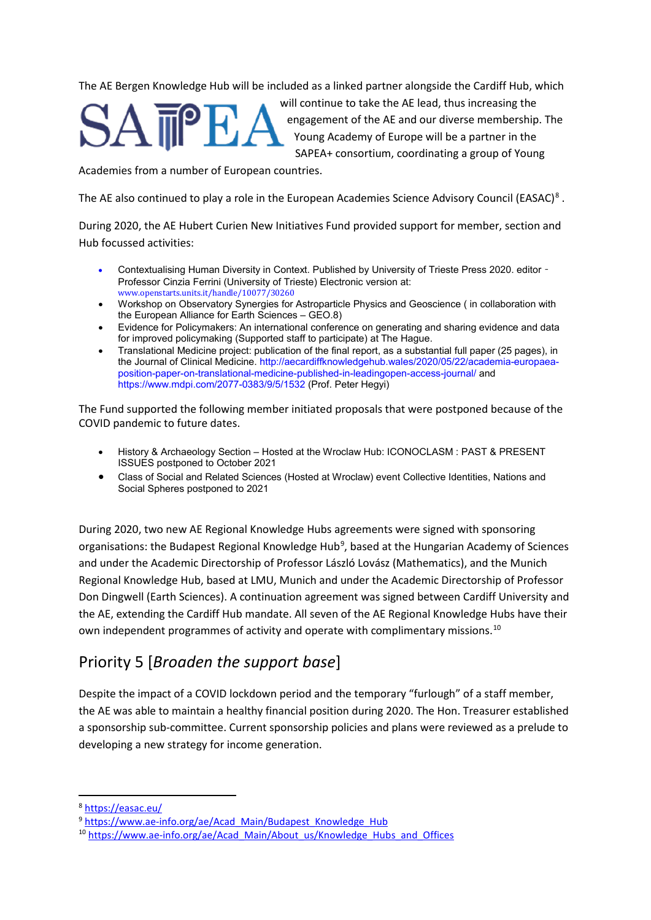The AE Bergen Knowledge Hub will be included as a linked partner alongside the Cardiff Hub, which



will continue to take the AE lead, thus increasing the engagement of the AE and our diverse membership. The Young Academy of Europe will be a partner in the SAPEA+ consortium, coordinating a group of Young

Academies from a number of European countries.

The AE also continued to play a role in the European Academies Science Advisory Council (EASAC)<sup>[8](#page-2-0)</sup>.

During 2020, the AE Hubert Curien New Initiatives Fund provided support for member, section and Hub focussed activities:

- Contextualising Human Diversity in Context. Published by University of Trieste Press 2020. editor Professor Cinzia Ferrini (University of Trieste) Electronic version at: www.openstarts.units.it/handle/10077/30260
- Workshop on Observatory Synergies for Astroparticle Physics and Geoscience ( in collaboration with the European Alliance for Earth Sciences – GEO.8)
- Evidence for Policymakers: An international conference on generating and sharing evidence and data for improved policymaking (Supported staff to participate) at The Hague.
- Translational Medicine project: publication of the final report, as a substantial full paper (25 pages), in the Journal of Clinical Medicine. http://aecardiffknowledgehub.wales/2020/05/22/academia-europaeaposition-paper-on-translational-medicine-published-in-leadingopen-access-journal/ and https://www.mdpi.com/2077-0383/9/5/1532 (Prof. Peter Hegyi)

The Fund supported the following member initiated proposals that were postponed because of the COVID pandemic to future dates.

- History & Archaeology Section Hosted at the Wroclaw Hub: ICONOCLASM : PAST & PRESENT ISSUES postponed to October 2021
- Class of Social and Related Sciences (Hosted at Wroclaw) event Collective Identities, Nations and Social Spheres postponed to 2021

During 2020, two new AE Regional Knowledge Hubs agreements were signed with sponsoring organisations: the Budapest Regional Knowledge Hub<sup>[9](#page-2-1)</sup>, based at the Hungarian Academy of Sciences and under the Academic Directorship of Professor László Lovász (Mathematics), and the Munich Regional Knowledge Hub, based at LMU, Munich and under the Academic Directorship of Professor Don Dingwell (Earth Sciences). A continuation agreement was signed between Cardiff University and the AE, extending the Cardiff Hub mandate. All seven of the AE Regional Knowledge Hubs have their own independent programmes of activity and operate with complimentary missions.<sup>[10](#page-2-2)</sup>

## Priority 5 [*Broaden the support base*]

Despite the impact of a COVID lockdown period and the temporary "furlough" of a staff member, the AE was able to maintain a healthy financial position during 2020. The Hon. Treasurer established a sponsorship sub-committee. Current sponsorship policies and plans were reviewed as a prelude to developing a new strategy for income generation.

<span id="page-2-0"></span>8 <https://easac.eu/>

<span id="page-2-1"></span><sup>9</sup> [https://www.ae-info.org/ae/Acad\\_Main/Budapest\\_Knowledge\\_Hub](https://www.ae-info.org/ae/Acad_Main/Budapest_Knowledge_Hub)

<span id="page-2-2"></span><sup>&</sup>lt;sup>10</sup> [https://www.ae-info.org/ae/Acad\\_Main/About\\_us/Knowledge\\_Hubs\\_and\\_Offices](https://www.ae-info.org/ae/Acad_Main/About_us/Knowledge_Hubs_and_Offices)